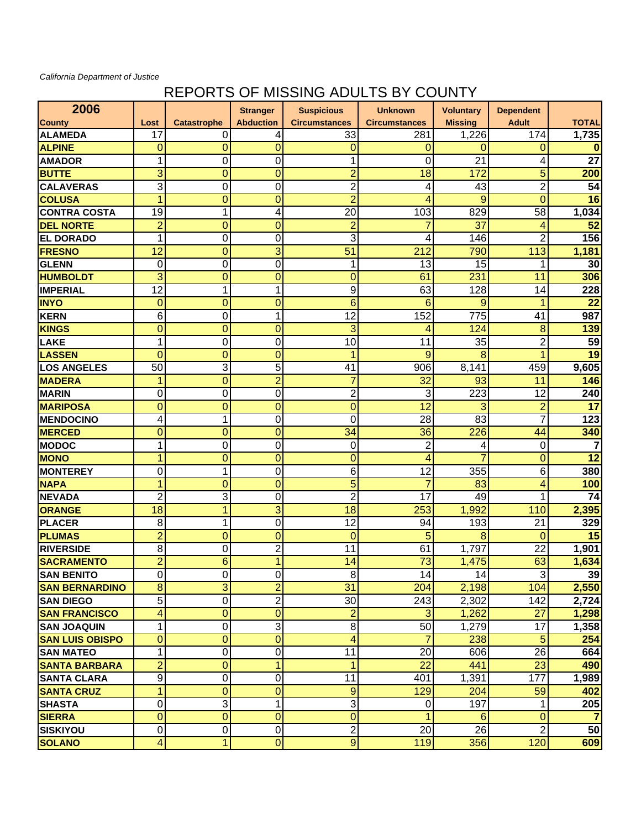## *California Department of Justice*

## REPORTS OF MISSING ADULTS BY COUNTY

| 2006                   |                 |                    | <b>Stranger</b>  | <b>Suspicious</b>       | <b>Unknown</b>       | <b>Voluntary</b> | <b>Dependent</b> |              |
|------------------------|-----------------|--------------------|------------------|-------------------------|----------------------|------------------|------------------|--------------|
| <b>County</b>          | Lost            | <b>Catastrophe</b> | <b>Abduction</b> | <b>Circumstances</b>    | <b>Circumstances</b> | <b>Missing</b>   | <b>Adult</b>     | <b>TOTAL</b> |
| <b>ALAMEDA</b>         | 17              | 0                  | 4                | 33                      | 281                  | 1,226            | 174              | 1,735        |
| <b>ALPINE</b>          | $\overline{0}$  | $\mathbf 0$        | 0                | 0                       | 0                    | 0                | 0                | o            |
| <b>AMADOR</b>          | 1               | $\boldsymbol{0}$   | 0                | 1                       | 0                    | 21               | 4                | 27           |
| <b>BUTTE</b>           | 3               | $\overline{0}$     | 0                | $\overline{2}$          | 18                   | 172              | 5                | 200          |
| <b>CALAVERAS</b>       | 3               | $\overline{0}$     | 0                | $\overline{2}$          | 4                    | 43               | $\overline{c}$   | 54           |
| <b>COLUSA</b>          | $\overline{1}$  | $\overline{0}$     | $\overline{0}$   | $\overline{2}$          | 4                    | 9                | $\overline{0}$   | 16           |
| <b>CONTRA COSTA</b>    | $\overline{19}$ | 1                  | 4                | $\overline{20}$         | 103                  | 829              | $\overline{58}$  | 1,034        |
| <b>DEL NORTE</b>       | $\overline{2}$  | $\overline{0}$     | $\mathbf 0$      | $\overline{2}$          | 7                    | 37               | 4                | 52           |
| <b>EL DORADO</b>       | 1               | 0                  | 0                | 3                       | 4                    | 146              | $\overline{2}$   | 156          |
| <b>FRESNO</b>          | 12              | $\overline{0}$     | 3                | 51                      | 212                  | 790              | 113              | 1,181        |
| <b>GLENN</b>           | 0               | 0                  | 0                | 1                       | 13                   | 15               | 1                | 30           |
| <b>HUMBOLDT</b>        | 3               | $\mathbf 0$        | 0                | $\mathbf 0$             | 61                   | 231              | 11               | 306          |
| <b>IMPERIAL</b>        | 12              | 1                  | 1                | 9                       | 63                   | 128              | 14               | 228          |
| <b>INYO</b>            | $\mathbf 0$     | $\mathbf 0$        | 0                | 6                       | 6                    | 9                | 1                | 22           |
| <b>KERN</b>            | 6               | $\mathbf 0$        | 1                | 12                      | 152                  | 775              | 41               | 987          |
| <b>KINGS</b>           | $\mathbf{0}$    | $\mathbf 0$        | $\mathbf 0$      | 3                       | 4                    | 124              | 8                | 139          |
| <b>LAKE</b>            | 1               | $\mathbf 0$        | 0                | 10                      | 11                   | 35               | $\overline{c}$   | 59           |
| <b>LASSEN</b>          | $\mathbf 0$     | $\mathbf 0$        | 0                | 1                       | 9                    | 8                | 1                | 19           |
| <b>LOS ANGELES</b>     | 50              | 3                  | 5                | 41                      | 906                  | 8,141            | 459              | 9,605        |
| <b>MADERA</b>          | 1               | $\mathbf 0$        | $\overline{2}$   | $\overline{7}$          | 32                   | 93               | 11               | 146          |
| <b>MARIN</b>           | 0               | $\mathbf 0$        | 0                | $\overline{2}$          | 3                    | 223              | 12               | 240          |
| <b>MARIPOSA</b>        | $\overline{0}$  | $\mathbf 0$        | 0                | $\mathbf 0$             | 12                   | 3                | $\overline{a}$   | 17           |
| <b>MENDOCINO</b>       | 4               | 1                  | 0                | 0                       | 28                   | 83               | $\overline{7}$   | 123          |
| <b>MERCED</b>          | 0               | $\mathbf 0$        | $\mathbf 0$      | 34                      | 36                   | 226              | 44               | 340          |
| <b>MODOC</b>           | 1               | 0                  | 0                | 0                       | $\overline{2}$       | 4                | 0                | 7            |
| <b>MONO</b>            | 1               | $\mathbf 0$        | 0                | $\mathbf 0$             | 4                    | 7                | $\mathbf 0$      | 12           |
| <b>MONTEREY</b>        | $\mathbf 0$     | 1                  | 0                | 6                       | 12                   | 355              | 6                | 380          |
| <b>NAPA</b>            | 1               | $\mathbf 0$        | 0                | 5                       | 7                    | 83               | 4                | 100          |
| <b>NEVADA</b>          | $\overline{2}$  | 3                  | 0                | $\overline{2}$          | 17                   | 49               | 1                | 74           |
| ORANGE                 | 18              | 1                  | 3                | 18                      | 253                  | 1,992            | 110              | 2,395        |
| <b>PLACER</b>          | 8               | 1                  | 0                | 12                      | 94                   | 193              | 21               | 329          |
| <b>PLUMAS</b>          | $\overline{2}$  | $\mathbf 0$        | 0                | $\mathbf 0$             | 5                    | 8                | $\mathbf{0}$     | 15           |
| <b>RIVERSIDE</b>       | 8               | 0                  | $\overline{2}$   | 11                      | 61                   | 1,797            | 22               | 1,901        |
| <b>SACRAMENTO</b>      | $\overline{2}$  | 6                  | $\blacksquare$   | 14                      | 73                   | 1,475            | 63               | 1,634        |
| <b>SAN BENITO</b>      | $\overline{0}$  | $\mathbf 0$        | $\mathbf 0$      | $\bf 8$                 | 14                   | 14               | 3                | 39           |
| <b>SAN BERNARDINO</b>  | 8               | 3                  | $\overline{2}$   | 31                      | 204                  | 2,198            | 104              | 2,550        |
| <b>SAN DIEGO</b>       | 5               | $\overline{0}$     | $\overline{2}$   | 30                      | 243                  | 2,302            | 142              | 2,724        |
| <b>SAN FRANCISCO</b>   | 4               | $\overline{0}$     | $\mathbf 0$      | $\overline{2}$          | 3                    | 1,262            | 27               | 1,298        |
| <b>SAN JOAQUIN</b>     | 1               | $\pmb{0}$          | 3                | 8                       | 50                   | 1,279            | 17               | 1,358        |
| <b>SAN LUIS OBISPO</b> | $\overline{0}$  | $\mathbf 0$        | $\overline{0}$   | $\overline{\mathbf{4}}$ | $\overline{7}$       | 238              | 5                | 254          |
| <b>SAN MATEO</b>       | 1               | $\boldsymbol{0}$   | 0                | 11                      | 20                   | 606              | 26               | 664          |
| <b>SANTA BARBARA</b>   | $\overline{2}$  | $\mathbf 0$        | 1                | 1                       | 22                   | 441              | 23               | 490          |
| <b>SANTA CLARA</b>     | 9               | 0                  | 0                | 11                      | 401                  | 1,391            | 177              | 1,989        |
| <b>SANTA CRUZ</b>      | 1               | $\mathbf 0$        | $\mathbf 0$      | $9$                     | 129                  | 204              | 59               | 402          |
| <b>SHASTA</b>          | $\pmb{0}$       | 3                  | $\mathbf{1}$     | 3                       | 0                    | 197              | 1                | 205          |
| <b>SIERRA</b>          | $\overline{0}$  | $\mathbf 0$        | 0                | $\overline{0}$          | 1                    | 6                | $\mathbf 0$      | 7            |
| <b>SISKIYOU</b>        | $\pmb{0}$       | $\pmb{0}$          | 0                | 2                       | 20                   | 26               | $\overline{2}$   | 50           |
| <b>SOLANO</b>          | $\overline{4}$  | 1                  | $\overline{0}$   | $\boldsymbol{9}$        | 119                  | 356              | 120              | 609          |